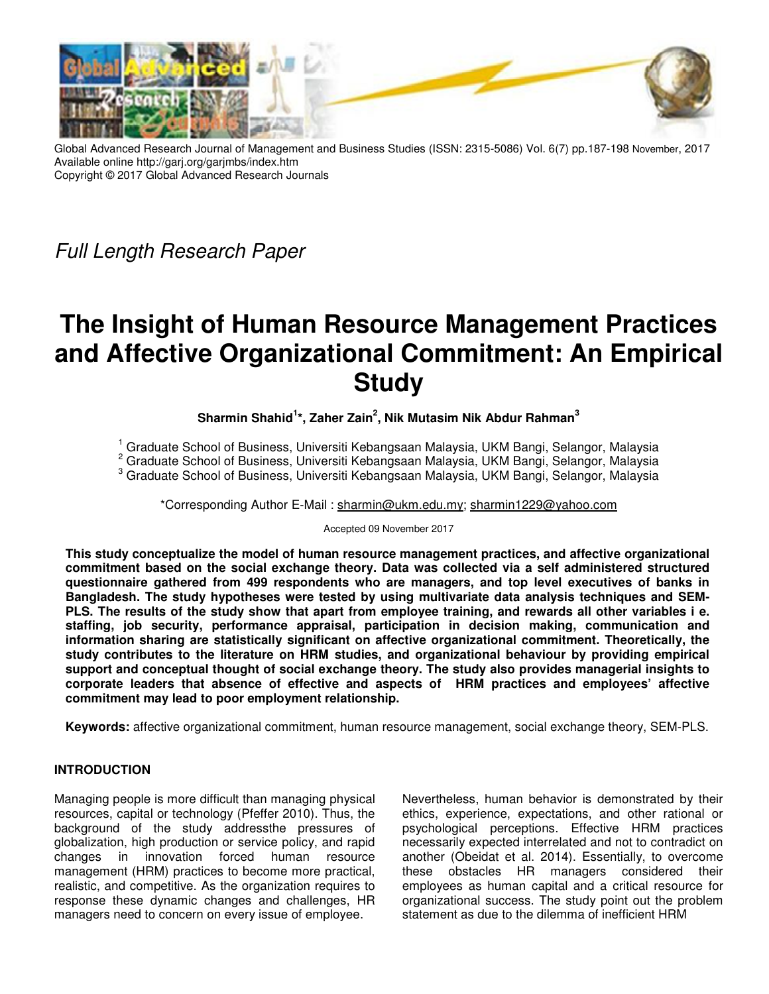

Global Advanced Research Journal of Management and Business Studies (ISSN: 2315-5086) Vol. 6(7) pp.187-198 November, 2017 Available online http://garj.org/garjmbs/index.htm Copyright © 2017 Global Advanced Research Journals

Full Length Research Paper

# **The Insight of Human Resource Management Practices and Affective Organizational Commitment: An Empirical Study**

## **Sharmin Shahid<sup>1</sup> \*, Zaher Zain<sup>2</sup> , Nik Mutasim Nik Abdur Rahman<sup>3</sup>**

1 Graduate School of Business, Universiti Kebangsaan Malaysia, UKM Bangi, Selangor, Malaysia

<sup>2</sup> Graduate School of Business, Universiti Kebangsaan Malaysia, UKM Bangi, Selangor, Malaysia

3 Graduate School of Business, Universiti Kebangsaan Malaysia, UKM Bangi, Selangor, Malaysia

\*Corresponding Author E-Mail : sharmin@ukm.edu.my; sharmin1229@yahoo.com

Accepted 09 November 2017

**This study conceptualize the model of human resource management practices, and affective organizational commitment based on the social exchange theory. Data was collected via a self administered structured questionnaire gathered from 499 respondents who are managers, and top level executives of banks in Bangladesh. The study hypotheses were tested by using multivariate data analysis techniques and SEM-PLS. The results of the study show that apart from employee training, and rewards all other variables i e. staffing, job security, performance appraisal, participation in decision making, communication and information sharing are statistically significant on affective organizational commitment. Theoretically, the study contributes to the literature on HRM studies, and organizational behaviour by providing empirical support and conceptual thought of social exchange theory. The study also provides managerial insights to corporate leaders that absence of effective and aspects of HRM practices and employees' affective commitment may lead to poor employment relationship.** 

**Keywords:** affective organizational commitment, human resource management, social exchange theory, SEM-PLS.

## **INTRODUCTION**

Managing people is more difficult than managing physical resources, capital or technology (Pfeffer 2010). Thus, the background of the study addressthe pressures of globalization, high production or service policy, and rapid changes in innovation forced human resource management (HRM) practices to become more practical, realistic, and competitive. As the organization requires to response these dynamic changes and challenges, HR managers need to concern on every issue of employee.

Nevertheless, human behavior is demonstrated by their ethics, experience, expectations, and other rational or psychological perceptions. Effective HRM practices necessarily expected interrelated and not to contradict on another (Obeidat et al. 2014). Essentially, to overcome these obstacles HR managers considered their employees as human capital and a critical resource for organizational success. The study point out the problem statement as due to the dilemma of inefficient HRM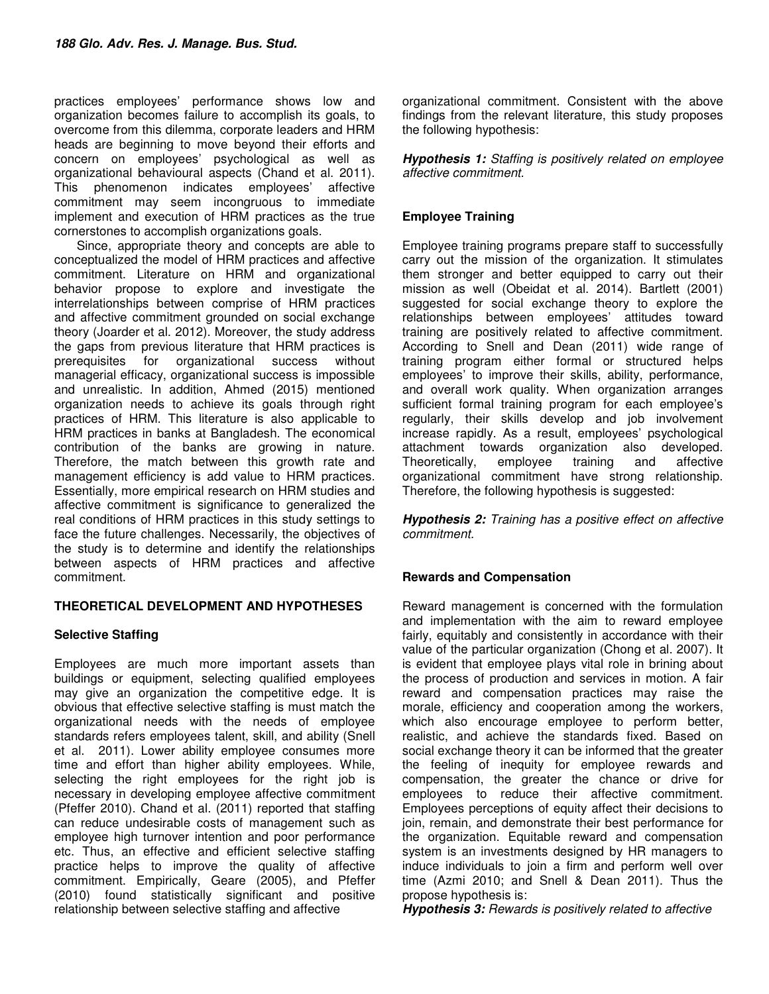practices employees' performance shows low and organization becomes failure to accomplish its goals, to overcome from this dilemma, corporate leaders and HRM heads are beginning to move beyond their efforts and concern on employees' psychological as well as organizational behavioural aspects (Chand et al. 2011). This phenomenon indicates employees' affective commitment may seem incongruous to immediate implement and execution of HRM practices as the true cornerstones to accomplish organizations goals.

 Since, appropriate theory and concepts are able to conceptualized the model of HRM practices and affective commitment. Literature on HRM and organizational behavior propose to explore and investigate the interrelationships between comprise of HRM practices and affective commitment grounded on social exchange theory (Joarder et al. 2012). Moreover, the study address the gaps from previous literature that HRM practices is prerequisites for organizational success without managerial efficacy, organizational success is impossible and unrealistic. In addition, Ahmed (2015) mentioned organization needs to achieve its goals through right practices of HRM. This literature is also applicable to HRM practices in banks at Bangladesh. The economical contribution of the banks are growing in nature. Therefore, the match between this growth rate and management efficiency is add value to HRM practices. Essentially, more empirical research on HRM studies and affective commitment is significance to generalized the real conditions of HRM practices in this study settings to face the future challenges. Necessarily, the objectives of the study is to determine and identify the relationships between aspects of HRM practices and affective commitment.

## **THEORETICAL DEVELOPMENT AND HYPOTHESES**

## **Selective Staffing**

Employees are much more important assets than buildings or equipment, selecting qualified employees may give an organization the competitive edge. It is obvious that effective selective staffing is must match the organizational needs with the needs of employee standards refers employees talent, skill, and ability (Snell et al. 2011). Lower ability employee consumes more time and effort than higher ability employees. While, selecting the right employees for the right job is necessary in developing employee affective commitment (Pfeffer 2010). Chand et al. (2011) reported that staffing can reduce undesirable costs of management such as employee high turnover intention and poor performance etc. Thus, an effective and efficient selective staffing practice helps to improve the quality of affective commitment. Empirically, Geare (2005), and Pfeffer (2010) found statistically significant and positive relationship between selective staffing and affective

organizational commitment. Consistent with the above findings from the relevant literature, this study proposes the following hypothesis:

*Hypothesis 1:* Staffing is positively related on employee affective commitment.

## **Employee Training**

Employee training programs prepare staff to successfully carry out the mission of the organization. It stimulates them stronger and better equipped to carry out their mission as well (Obeidat et al. 2014). Bartlett (2001) suggested for social exchange theory to explore the relationships between employees' attitudes toward training are positively related to affective commitment. According to Snell and Dean (2011) wide range of training program either formal or structured helps employees' to improve their skills, ability, performance, and overall work quality. When organization arranges sufficient formal training program for each employee's regularly, their skills develop and job involvement increase rapidly. As a result, employees' psychological attachment towards organization also developed.<br>Theoretically, employee training and affective Theoretically, employee training organizational commitment have strong relationship. Therefore, the following hypothesis is suggested:

*Hypothesis 2:* Training has a positive effect on affective commitment.

## **Rewards and Compensation**

Reward management is concerned with the formulation and implementation with the aim to reward employee fairly, equitably and consistently in accordance with their value of the particular organization (Chong et al. 2007). It is evident that employee plays vital role in brining about the process of production and services in motion. A fair reward and compensation practices may raise the morale, efficiency and cooperation among the workers, which also encourage employee to perform better, realistic, and achieve the standards fixed. Based on social exchange theory it can be informed that the greater the feeling of inequity for employee rewards and compensation, the greater the chance or drive for employees to reduce their affective commitment. Employees perceptions of equity affect their decisions to join, remain, and demonstrate their best performance for the organization. Equitable reward and compensation system is an investments designed by HR managers to induce individuals to join a firm and perform well over time (Azmi 2010; and Snell & Dean 2011). Thus the propose hypothesis is:

*Hypothesis 3:* Rewards is positively related to affective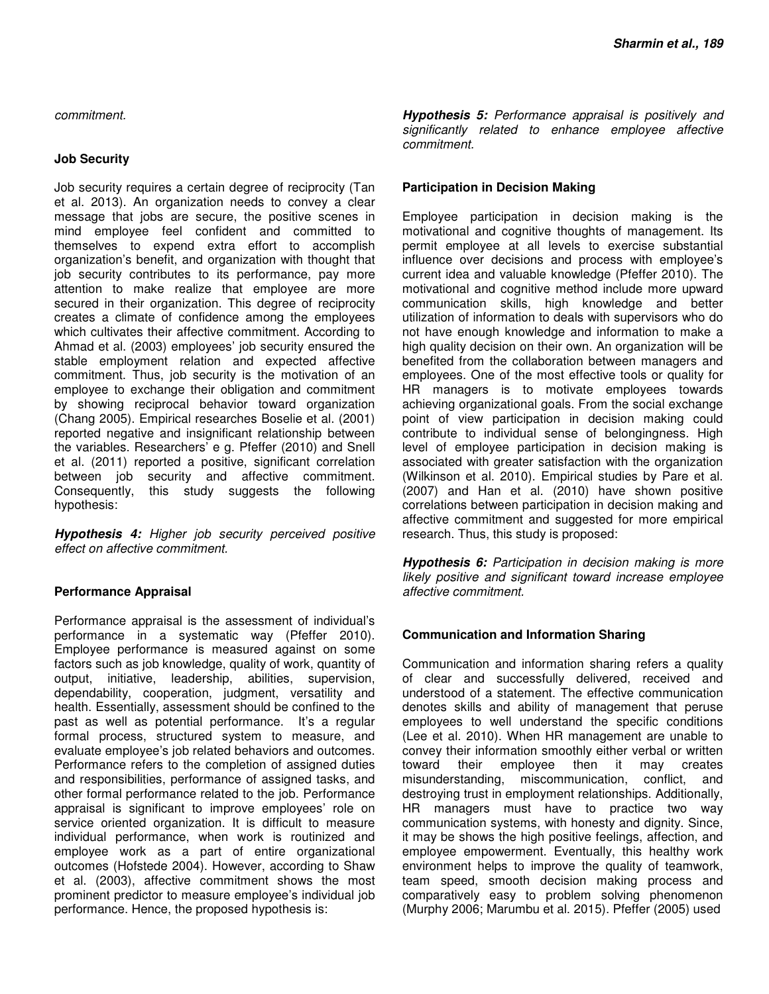commitment.

#### **Job Security**

Job security requires a certain degree of reciprocity (Tan et al. 2013). An organization needs to convey a clear message that jobs are secure, the positive scenes in mind employee feel confident and committed to themselves to expend extra effort to accomplish organization's benefit, and organization with thought that job security contributes to its performance, pay more attention to make realize that employee are more secured in their organization. This degree of reciprocity creates a climate of confidence among the employees which cultivates their affective commitment. According to Ahmad et al. (2003) employees' job security ensured the stable employment relation and expected affective commitment. Thus, job security is the motivation of an employee to exchange their obligation and commitment by showing reciprocal behavior toward organization (Chang 2005). Empirical researches Boselie et al. (2001) reported negative and insignificant relationship between the variables. Researchers' e g. Pfeffer (2010) and Snell et al. (2011) reported a positive, significant correlation between job security and affective commitment. Consequently, this study suggests the following hypothesis:

*Hypothesis 4:* Higher job security perceived positive effect on affective commitment.

## **Performance Appraisal**

Performance appraisal is the assessment of individual's performance in a systematic way (Pfeffer 2010). Employee performance is measured against on some factors such as job knowledge, quality of work, quantity of output, initiative, leadership, abilities, supervision, dependability, cooperation, judgment, versatility and health. Essentially, assessment should be confined to the past as well as potential performance. It's a regular formal process, structured system to measure, and evaluate employee's job related behaviors and outcomes. Performance refers to the completion of assigned duties and responsibilities, performance of assigned tasks, and other formal performance related to the job. Performance appraisal is significant to improve employees' role on service oriented organization. It is difficult to measure individual performance, when work is routinized and employee work as a part of entire organizational outcomes (Hofstede 2004). However, according to Shaw et al. (2003), affective commitment shows the most prominent predictor to measure employee's individual job performance. Hence, the proposed hypothesis is:

*Hypothesis 5:* Performance appraisal is positively and significantly related to enhance employee affective commitment.

### **Participation in Decision Making**

Employee participation in decision making is the motivational and cognitive thoughts of management. Its permit employee at all levels to exercise substantial influence over decisions and process with employee's current idea and valuable knowledge (Pfeffer 2010). The motivational and cognitive method include more upward communication skills, high knowledge and better utilization of information to deals with supervisors who do not have enough knowledge and information to make a high quality decision on their own. An organization will be benefited from the collaboration between managers and employees. One of the most effective tools or quality for HR managers is to motivate employees towards achieving organizational goals. From the social exchange point of view participation in decision making could contribute to individual sense of belongingness. High level of employee participation in decision making is associated with greater satisfaction with the organization (Wilkinson et al. 2010). Empirical studies by Pare et al. (2007) and Han et al. (2010) have shown positive correlations between participation in decision making and affective commitment and suggested for more empirical research. Thus, this study is proposed:

**Hypothesis 6:** Participation in decision making is more likely positive and significant toward increase employee affective commitment.

#### **Communication and Information Sharing**

Communication and information sharing refers a quality of clear and successfully delivered, received and understood of a statement. The effective communication denotes skills and ability of management that peruse employees to well understand the specific conditions (Lee et al. 2010). When HR management are unable to convey their information smoothly either verbal or written toward their employee then it may creates misunderstanding, miscommunication, conflict, and destroying trust in employment relationships. Additionally, HR managers must have to practice two way communication systems, with honesty and dignity. Since, it may be shows the high positive feelings, affection, and employee empowerment. Eventually, this healthy work environment helps to improve the quality of teamwork, team speed, smooth decision making process and comparatively easy to problem solving phenomenon (Murphy 2006; Marumbu et al. 2015). Pfeffer (2005) used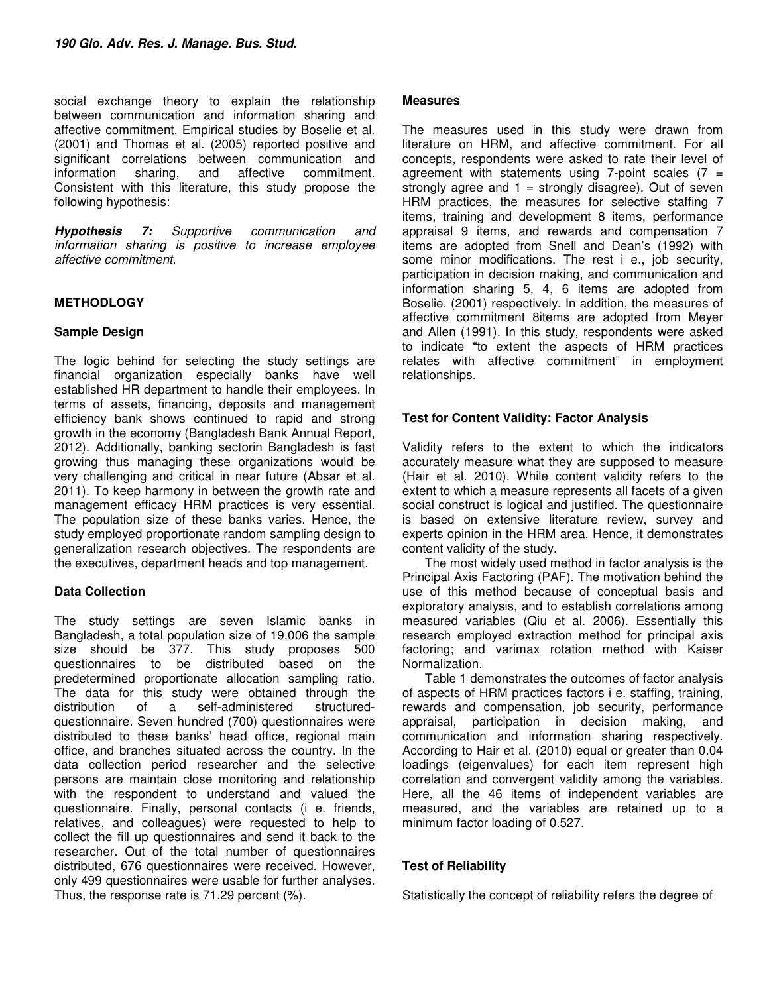social exchange theory to explain the relationship between communication and information sharing and affective commitment. Empirical studies by Boselie et al. (2001) and Thomas et al. (2005) reported positive and significant correlations between communication and<br>information sharing, and affective commitment. information sharing, and affective Consistent with this literature, this study propose the following hypothesis:

*Hypothesis 7:* Supportive communication and information sharing is positive to increase employee affective commitment.

## **METHODLOGY**

## **Sample Design**

The logic behind for selecting the study settings are financial organization especially banks have well established HR department to handle their employees. In terms of assets, financing, deposits and management efficiency bank shows continued to rapid and strong growth in the economy (Bangladesh Bank Annual Report, 2012). Additionally, banking sectorin Bangladesh is fast growing thus managing these organizations would be very challenging and critical in near future (Absar et al. 2011). To keep harmony in between the growth rate and management efficacy HRM practices is very essential. The population size of these banks varies. Hence, the study employed proportionate random sampling design to generalization research objectives. The respondents are the executives, department heads and top management.

## **Data Collection**

The study settings are seven Islamic banks in Bangladesh, a total population size of 19,006 the sample size should be 377. This study proposes 500 questionnaires to be distributed based on the predetermined proportionate allocation sampling ratio. The data for this study were obtained through the distribution of a self-administered structuredquestionnaire. Seven hundred (700) questionnaires were distributed to these banks' head office, regional main office, and branches situated across the country. In the data collection period researcher and the selective persons are maintain close monitoring and relationship with the respondent to understand and valued the questionnaire. Finally, personal contacts (i e. friends, relatives, and colleagues) were requested to help to collect the fill up questionnaires and send it back to the researcher. Out of the total number of questionnaires distributed, 676 questionnaires were received. However, only 499 questionnaires were usable for further analyses. Thus, the response rate is 71.29 percent (%).

#### **Measures**

The measures used in this study were drawn from literature on HRM, and affective commitment. For all concepts, respondents were asked to rate their level of agreement with statements using 7-point scales  $(7 =$ strongly agree and  $1 =$  strongly disagree). Out of seven HRM practices, the measures for selective staffing 7 items, training and development 8 items, performance appraisal 9 items, and rewards and compensation 7 items are adopted from Snell and Dean's (1992) with some minor modifications. The rest i e., job security, participation in decision making, and communication and information sharing 5, 4, 6 items are adopted from Boselie. (2001) respectively. In addition, the measures of affective commitment 8items are adopted from Meyer and Allen (1991). In this study, respondents were asked to indicate "to extent the aspects of HRM practices relates with affective commitment" in employment relationships.

### **Test for Content Validity: Factor Analysis**

Validity refers to the extent to which the indicators accurately measure what they are supposed to measure (Hair et al. 2010). While content validity refers to the extent to which a measure represents all facets of a given social construct is logical and justified. The questionnaire is based on extensive literature review, survey and experts opinion in the HRM area. Hence, it demonstrates content validity of the study.

 The most widely used method in factor analysis is the Principal Axis Factoring (PAF). The motivation behind the use of this method because of conceptual basis and exploratory analysis, and to establish correlations among measured variables (Qiu et al. 2006). Essentially this research employed extraction method for principal axis factoring; and varimax rotation method with Kaiser Normalization.

 Table 1 demonstrates the outcomes of factor analysis of aspects of HRM practices factors i e. staffing, training, rewards and compensation, job security, performance appraisal, participation in decision making, and communication and information sharing respectively. According to Hair et al. (2010) equal or greater than 0.04 loadings (eigenvalues) for each item represent high correlation and convergent validity among the variables. Here, all the 46 items of independent variables are measured, and the variables are retained up to a minimum factor loading of 0.527.

## **Test of Reliability**

Statistically the concept of reliability refers the degree of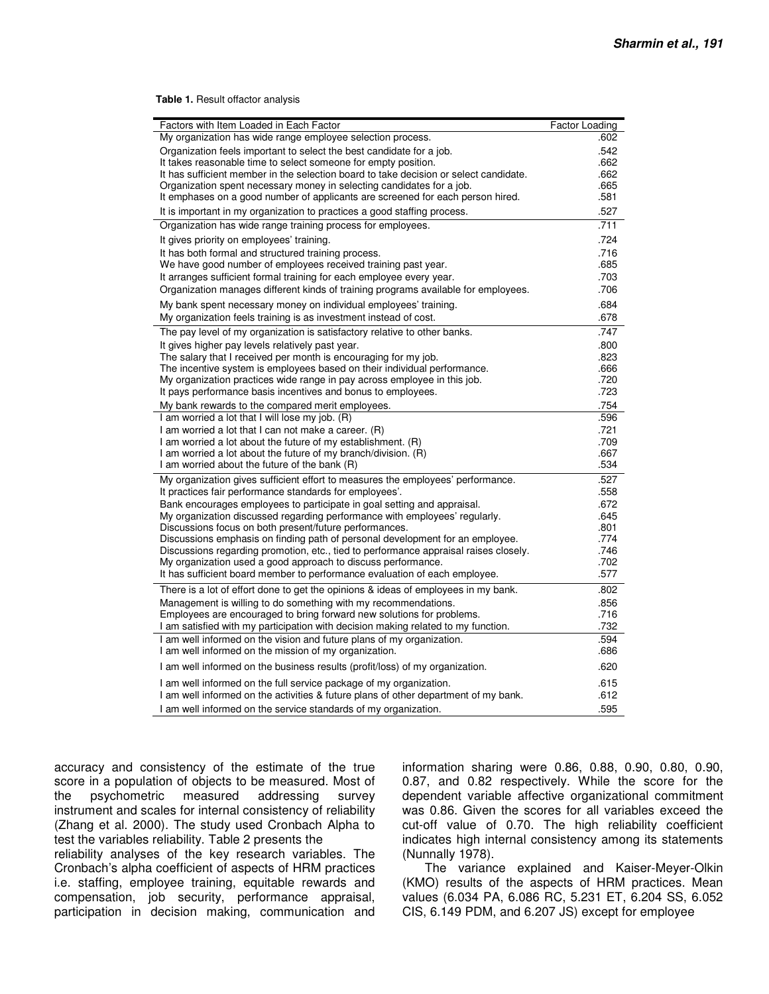**Table 1.** Result offactor analysis

| Factors with Item Loaded in Each Factor                                                                                                                    | Factor Loading |
|------------------------------------------------------------------------------------------------------------------------------------------------------------|----------------|
| My organization has wide range employee selection process.                                                                                                 | .602           |
| Organization feels important to select the best candidate for a job.                                                                                       | .542           |
| It takes reasonable time to select someone for empty position.                                                                                             | .662           |
| It has sufficient member in the selection board to take decision or select candidate.                                                                      | .662<br>.665   |
| Organization spent necessary money in selecting candidates for a job.<br>It emphases on a good number of applicants are screened for each person hired.    | .581           |
| It is important in my organization to practices a good staffing process.                                                                                   | .527           |
| Organization has wide range training process for employees.                                                                                                | .711           |
| It gives priority on employees' training.                                                                                                                  | .724           |
| It has both formal and structured training process.                                                                                                        | .716           |
| We have good number of employees received training past year.                                                                                              | .685           |
| It arranges sufficient formal training for each employee every year.                                                                                       | .703           |
| Organization manages different kinds of training programs available for employees.                                                                         | .706           |
| My bank spent necessary money on individual employees' training.                                                                                           | .684           |
| My organization feels training is as investment instead of cost.                                                                                           | .678           |
| The pay level of my organization is satisfactory relative to other banks.                                                                                  | .747           |
| It gives higher pay levels relatively past year.                                                                                                           | .800           |
| The salary that I received per month is encouraging for my job.                                                                                            | .823           |
| The incentive system is employees based on their individual performance.                                                                                   | .666           |
| My organization practices wide range in pay across employee in this job.<br>It pays performance basis incentives and bonus to employees.                   | .720<br>.723   |
| My bank rewards to the compared merit employees.                                                                                                           | .754           |
| I am worried a lot that I will lose my job. (R)                                                                                                            | .596           |
| I am worried a lot that I can not make a career. (R)                                                                                                       | .721           |
| I am worried a lot about the future of my establishment. (R)                                                                                               | .709           |
| I am worried a lot about the future of my branch/division. (R)                                                                                             | .667           |
| I am worried about the future of the bank (R)                                                                                                              | .534           |
| My organization gives sufficient effort to measures the employees' performance.                                                                            | .527           |
| It practices fair performance standards for employees'.                                                                                                    | .558           |
| Bank encourages employees to participate in goal setting and appraisal.<br>My organization discussed regarding performance with employees' regularly.      | .672<br>.645   |
| Discussions focus on both present/future performances.                                                                                                     | .801           |
| Discussions emphasis on finding path of personal development for an employee.                                                                              | .774           |
| Discussions regarding promotion, etc., tied to performance appraisal raises closely.                                                                       | .746           |
| My organization used a good approach to discuss performance.                                                                                               | .702           |
| It has sufficient board member to performance evaluation of each employee.                                                                                 | .577           |
| There is a lot of effort done to get the opinions & ideas of employees in my bank.                                                                         | .802           |
| Management is willing to do something with my recommendations.                                                                                             | .856           |
| Employees are encouraged to bring forward new solutions for problems.                                                                                      | .716           |
| I am satisfied with my participation with decision making related to my function.<br>I am well informed on the vision and future plans of my organization. | .732<br>.594   |
| I am well informed on the mission of my organization.                                                                                                      | .686           |
| I am well informed on the business results (profit/loss) of my organization.                                                                               | .620           |
| I am well informed on the full service package of my organization.                                                                                         | .615           |
| I am well informed on the activities & future plans of other department of my bank.                                                                        | .612           |
| I am well informed on the service standards of my organization.                                                                                            | .595           |

accuracy and consistency of the estimate of the true score in a population of objects to be measured. Most of the psychometric measured addressing survey instrument and scales for internal consistency of reliability (Zhang et al. 2000). The study used Cronbach Alpha to test the variables reliability. Table 2 presents the

reliability analyses of the key research variables. The Cronbach's alpha coefficient of aspects of HRM practices i.e. staffing, employee training, equitable rewards and compensation, job security, performance appraisal, participation in decision making, communication and information sharing were 0.86, 0.88, 0.90, 0.80, 0.90, 0.87, and 0.82 respectively. While the score for the dependent variable affective organizational commitment was 0.86. Given the scores for all variables exceed the cut-off value of 0.70. The high reliability coefficient indicates high internal consistency among its statements (Nunnally 1978).

 The variance explained and Kaiser-Meyer-Olkin (KMO) results of the aspects of HRM practices. Mean values (6.034 PA, 6.086 RC, 5.231 ET, 6.204 SS, 6.052 CIS, 6.149 PDM, and 6.207 JS) except for employee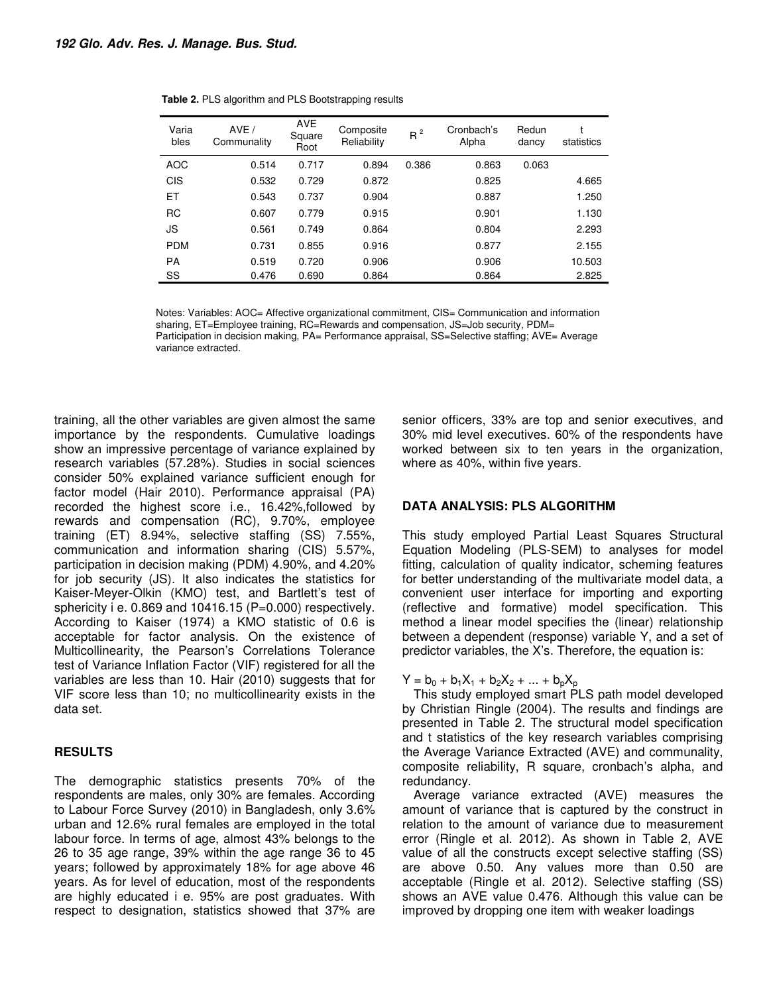| Varia<br>bles | AVE /<br>Communality | <b>AVE</b><br>Square<br>Root | Composite<br>Reliability | $R^2$ | Cronbach's<br>Alpha | Redun<br>dancy | statistics |
|---------------|----------------------|------------------------------|--------------------------|-------|---------------------|----------------|------------|
| <b>AOC</b>    | 0.514                | 0.717                        | 0.894                    | 0.386 | 0.863               | 0.063          |            |
| <b>CIS</b>    | 0.532                | 0.729                        | 0.872                    |       | 0.825               |                | 4.665      |
| ЕT            | 0.543                | 0.737                        | 0.904                    |       | 0.887               |                | 1.250      |
| <b>RC</b>     | 0.607                | 0.779                        | 0.915                    |       | 0.901               |                | 1.130      |
| JS            | 0.561                | 0.749                        | 0.864                    |       | 0.804               |                | 2.293      |
| <b>PDM</b>    | 0.731                | 0.855                        | 0.916                    |       | 0.877               |                | 2.155      |
| <b>PA</b>     | 0.519                | 0.720                        | 0.906                    |       | 0.906               |                | 10.503     |
| SS            | 0.476                | 0.690                        | 0.864                    |       | 0.864               |                | 2.825      |

|  |  |  |  |  | Table 2. PLS algorithm and PLS Bootstrapping results |
|--|--|--|--|--|------------------------------------------------------|
|--|--|--|--|--|------------------------------------------------------|

Notes: Variables: AOC= Affective organizational commitment, CIS= Communication and information sharing, ET=Employee training, RC=Rewards and compensation, JS=Job security, PDM= Participation in decision making, PA= Performance appraisal, SS=Selective staffing; AVE= Average variance extracted.

training, all the other variables are given almost the same importance by the respondents. Cumulative loadings show an impressive percentage of variance explained by research variables (57.28%). Studies in social sciences consider 50% explained variance sufficient enough for factor model (Hair 2010). Performance appraisal (PA) recorded the highest score i.e., 16.42%,followed by rewards and compensation (RC), 9.70%, employee training (ET) 8.94%, selective staffing (SS) 7.55%, communication and information sharing (CIS) 5.57%, participation in decision making (PDM) 4.90%, and 4.20% for job security (JS). It also indicates the statistics for Kaiser-Meyer-Olkin (KMO) test, and Bartlett's test of sphericity i e. 0.869 and 10416.15 (P=0.000) respectively. According to Kaiser (1974) a KMO statistic of 0.6 is acceptable for factor analysis. On the existence of Multicollinearity, the Pearson's Correlations Tolerance test of Variance Inflation Factor (VIF) registered for all the variables are less than 10. Hair (2010) suggests that for VIF score less than 10; no multicollinearity exists in the data set.

#### **RESULTS**

The demographic statistics presents 70% of the respondents are males, only 30% are females. According to Labour Force Survey (2010) in Bangladesh, only 3.6% urban and 12.6% rural females are employed in the total labour force. In terms of age, almost 43% belongs to the 26 to 35 age range, 39% within the age range 36 to 45 years; followed by approximately 18% for age above 46 years. As for level of education, most of the respondents are highly educated i e. 95% are post graduates. With respect to designation, statistics showed that 37% are

senior officers, 33% are top and senior executives, and 30% mid level executives. 60% of the respondents have worked between six to ten years in the organization, where as 40%, within five years.

#### **DATA ANALYSIS: PLS ALGORITHM**

This study employed Partial Least Squares Structural Equation Modeling (PLS-SEM) to analyses for model fitting, calculation of quality indicator, scheming features for better understanding of the multivariate model data, a convenient user interface for importing and exporting (reflective and formative) model specification. This method a linear model specifies the (linear) relationship between a dependent (response) variable Y, and a set of predictor variables, the X's. Therefore, the equation is:

 $Y = b_0 + b_1X_1 + b_2X_2 + ... + b_pX_p$ 

This study employed smart PLS path model developed by Christian Ringle (2004). The results and findings are presented in Table 2. The structural model specification and t statistics of the key research variables comprising the Average Variance Extracted (AVE) and communality, composite reliability, R square, cronbach's alpha, and redundancy.

Average variance extracted (AVE) measures the amount of variance that is captured by the construct in relation to the amount of variance due to measurement error (Ringle et al. 2012). As shown in Table 2, AVE value of all the constructs except selective staffing (SS) are above 0.50. Any values more than 0.50 are acceptable (Ringle et al. 2012). Selective staffing (SS) shows an AVE value 0.476. Although this value can be improved by dropping one item with weaker loadings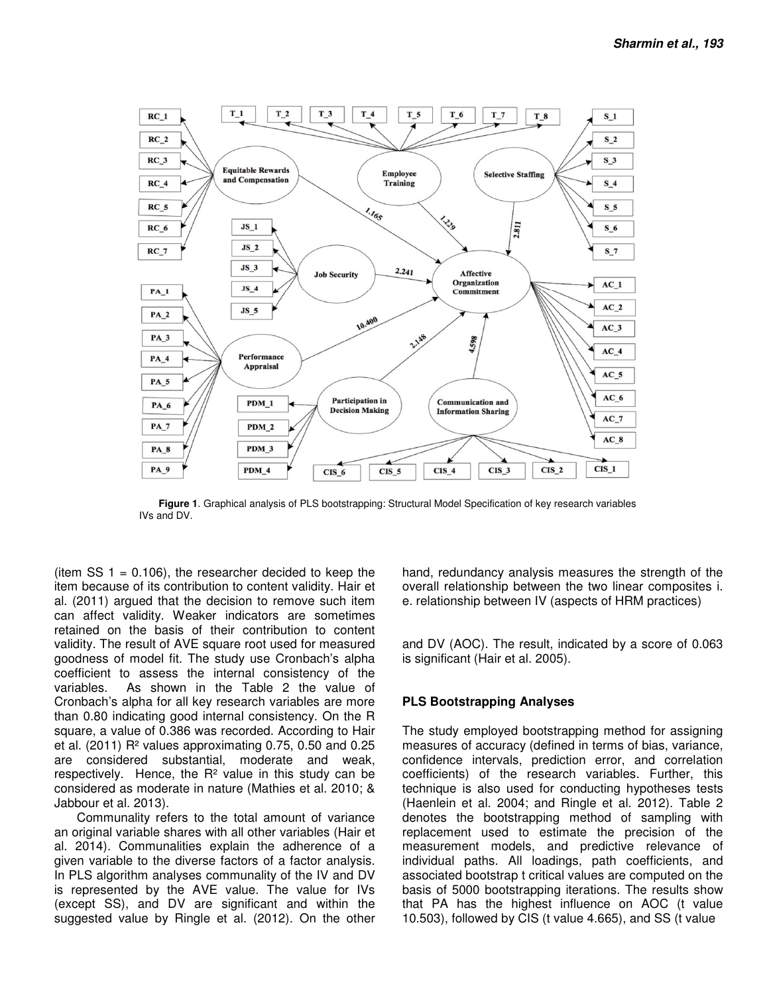

 **Figure 1**. Graphical analysis of PLS bootstrapping: Structural Model Specification of key research variables IVs and DV.

(item SS  $1 = 0.106$ ), the researcher decided to keep the item because of its contribution to content validity. Hair et al. (2011) argued that the decision to remove such item can affect validity. Weaker indicators are sometimes retained on the basis of their contribution to content validity. The result of AVE square root used for measured goodness of model fit. The study use Cronbach's alpha coefficient to assess the internal consistency of the variables. As shown in the Table 2 the value of Cronbach's alpha for all key research variables are more than 0.80 indicating good internal consistency. On the R square, a value of 0.386 was recorded. According to Hair et al. (2011) R² values approximating 0.75, 0.50 and 0.25 are considered substantial, moderate and weak, respectively. Hence, the R² value in this study can be considered as moderate in nature (Mathies et al. 2010; & Jabbour et al. 2013).

 Communality refers to the total amount of variance an original variable shares with all other variables (Hair et al. 2014). Communalities explain the adherence of a given variable to the diverse factors of a factor analysis. In PLS algorithm analyses communality of the IV and DV is represented by the AVE value. The value for IVs (except SS), and DV are significant and within the suggested value by Ringle et al. (2012). On the other hand, redundancy analysis measures the strength of the overall relationship between the two linear composites i. e. relationship between IV (aspects of HRM practices)

and DV (AOC). The result, indicated by a score of 0.063 is significant (Hair et al. 2005).

#### **PLS Bootstrapping Analyses**

The study employed bootstrapping method for assigning measures of accuracy (defined in terms of bias, variance, confidence intervals, prediction error, and correlation coefficients) of the research variables. Further, this technique is also used for conducting hypotheses tests (Haenlein et al. 2004; and Ringle et al. 2012). Table 2 denotes the bootstrapping method of sampling with replacement used to estimate the precision of the measurement models, and predictive relevance of individual paths. All loadings, path coefficients, and associated bootstrap t critical values are computed on the basis of 5000 bootstrapping iterations. The results show that PA has the highest influence on AOC (t value 10.503), followed by CIS (t value 4.665), and SS (t value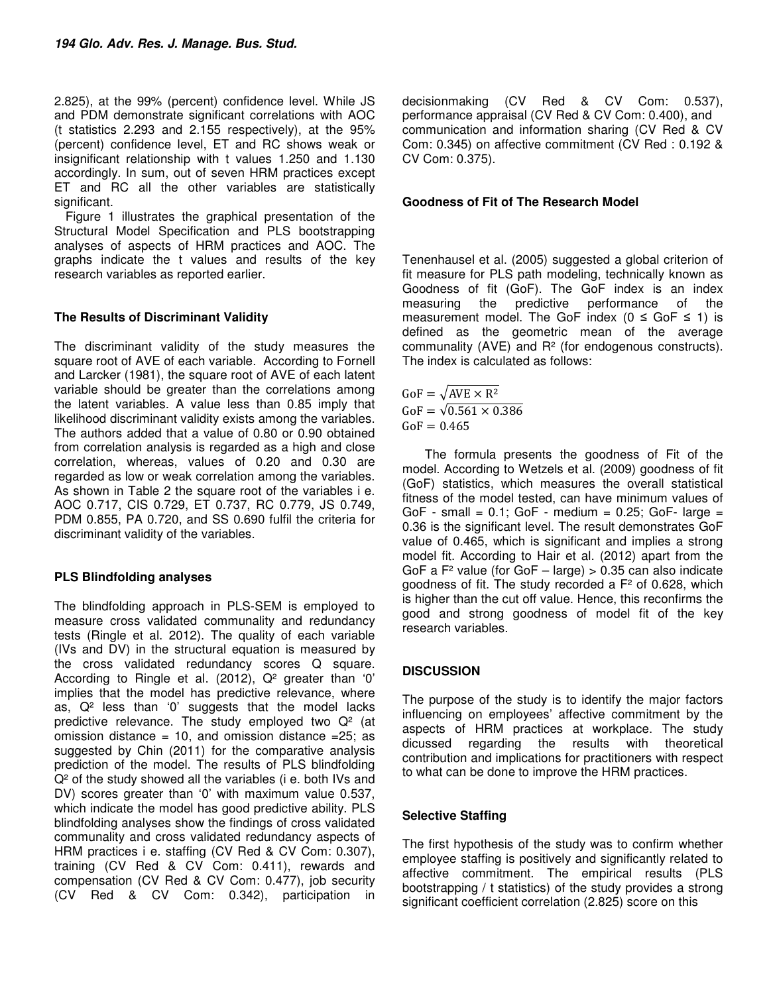2.825), at the 99% (percent) confidence level. While JS and PDM demonstrate significant correlations with AOC (t statistics 2.293 and 2.155 respectively), at the 95% (percent) confidence level, ET and RC shows weak or insignificant relationship with t values 1.250 and 1.130 accordingly. In sum, out of seven HRM practices except ET and RC all the other variables are statistically significant.

Figure 1 illustrates the graphical presentation of the Structural Model Specification and PLS bootstrapping analyses of aspects of HRM practices and AOC. The graphs indicate the t values and results of the key research variables as reported earlier.

### **The Results of Discriminant Validity**

The discriminant validity of the study measures the square root of AVE of each variable. According to Fornell and Larcker (1981), the square root of AVE of each latent variable should be greater than the correlations among the latent variables. A value less than 0.85 imply that likelihood discriminant validity exists among the variables. The authors added that a value of 0.80 or 0.90 obtained from correlation analysis is regarded as a high and close correlation, whereas, values of 0.20 and 0.30 are regarded as low or weak correlation among the variables. As shown in Table 2 the square root of the variables i e. AOC 0.717, CIS 0.729, ET 0.737, RC 0.779, JS 0.749, PDM 0.855, PA 0.720, and SS 0.690 fulfil the criteria for discriminant validity of the variables.

#### **PLS Blindfolding analyses**

The blindfolding approach in PLS-SEM is employed to measure cross validated communality and redundancy tests (Ringle et al. 2012). The quality of each variable (IVs and DV) in the structural equation is measured by the cross validated redundancy scores Q square. According to Ringle et al. (2012), Q² greater than '0' implies that the model has predictive relevance, where as,  $Q<sup>2</sup>$  less than '0' suggests that the model lacks predictive relevance. The study employed two  $Q<sup>2</sup>$  (at omission distance = 10, and omission distance =  $25$ ; as suggested by Chin (2011) for the comparative analysis prediction of the model. The results of PLS blindfolding Q<sup>2</sup> of the study showed all the variables (i e. both IVs and DV) scores greater than '0' with maximum value 0.537, which indicate the model has good predictive ability. PLS blindfolding analyses show the findings of cross validated communality and cross validated redundancy aspects of HRM practices i e. staffing (CV Red & CV Com: 0.307), training (CV Red & CV Com: 0.411), rewards and compensation (CV Red & CV Com: 0.477), job security (CV Red & CV Com: 0.342), participation in

decisionmaking (CV Red & CV Com: 0.537), performance appraisal (CV Red & CV Com: 0.400), and communication and information sharing (CV Red & CV Com: 0.345) on affective commitment (CV Red : 0.192 & CV Com: 0.375).

#### **Goodness of Fit of The Research Model**

Tenenhausel et al. (2005) suggested a global criterion of fit measure for PLS path modeling, technically known as Goodness of fit (GoF). The GoF index is an index measuring the predictive performance of the measurement model. The GoF index ( $0 \le$  GoF  $\le$  1) is defined as the geometric mean of the average communality (AVE) and R² (for endogenous constructs). The index is calculated as follows:

 $GoF = \sqrt{AVE \times R^2}$  $GoF = \sqrt{0.561 \times 0.386}$  $GoF = 0.465$ 

 The formula presents the goodness of Fit of the model. According to Wetzels et al. (2009) goodness of fit (GoF) statistics, which measures the overall statistical fitness of the model tested, can have minimum values of GoF - small =  $0.1$ ; GoF - medium =  $0.25$ ; GoF- large = 0.36 is the significant level. The result demonstrates GoF value of 0.465, which is significant and implies a strong model fit. According to Hair et al. (2012) apart from the GoF a  $F^2$  value (for GoF – large)  $> 0.35$  can also indicate goodness of fit. The study recorded a F² of 0.628, which is higher than the cut off value. Hence, this reconfirms the good and strong goodness of model fit of the key research variables.

## **DISCUSSION**

The purpose of the study is to identify the major factors influencing on employees' affective commitment by the aspects of HRM practices at workplace. The study dicussed regarding the results with theoretical contribution and implications for practitioners with respect to what can be done to improve the HRM practices.

## **Selective Staffing**

The first hypothesis of the study was to confirm whether employee staffing is positively and significantly related to affective commitment. The empirical results (PLS bootstrapping / t statistics) of the study provides a strong significant coefficient correlation (2.825) score on this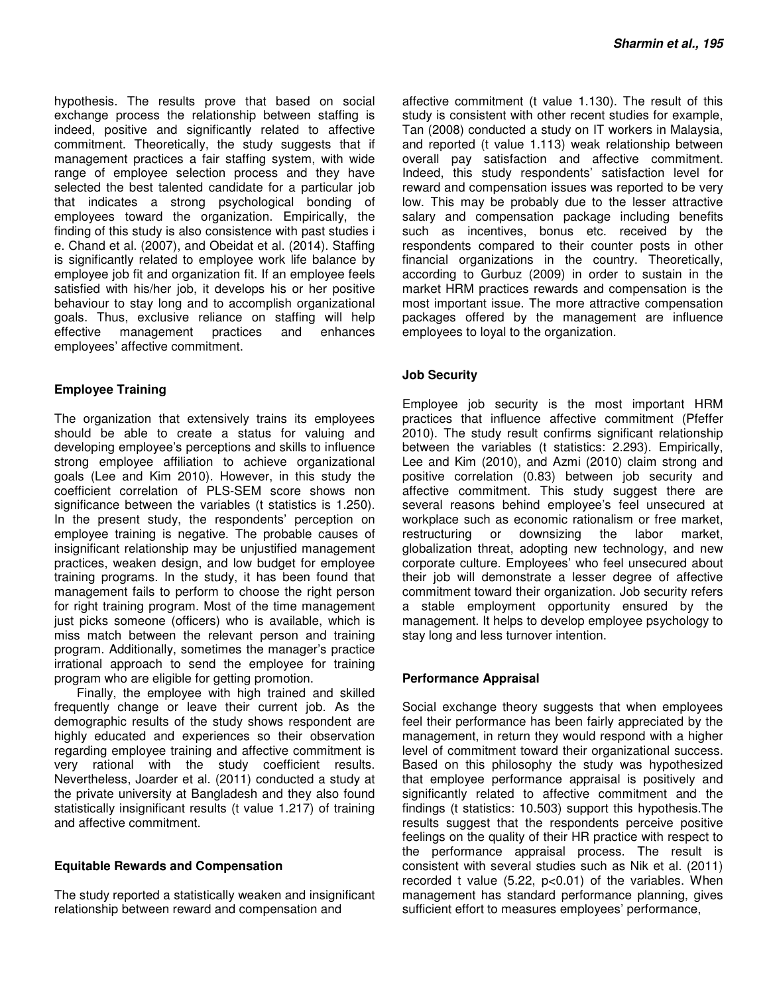hypothesis. The results prove that based on social exchange process the relationship between staffing is indeed, positive and significantly related to affective commitment. Theoretically, the study suggests that if management practices a fair staffing system, with wide range of employee selection process and they have selected the best talented candidate for a particular job that indicates a strong psychological bonding of employees toward the organization. Empirically, the finding of this study is also consistence with past studies i e. Chand et al. (2007), and Obeidat et al. (2014). Staffing is significantly related to employee work life balance by employee job fit and organization fit. If an employee feels satisfied with his/her job, it develops his or her positive behaviour to stay long and to accomplish organizational goals. Thus, exclusive reliance on staffing will help effective management practices and enhances employees' affective commitment.

## **Employee Training**

The organization that extensively trains its employees should be able to create a status for valuing and developing employee's perceptions and skills to influence strong employee affiliation to achieve organizational goals (Lee and Kim 2010). However, in this study the coefficient correlation of PLS-SEM score shows non significance between the variables (t statistics is 1.250). In the present study, the respondents' perception on employee training is negative. The probable causes of insignificant relationship may be unjustified management practices, weaken design, and low budget for employee training programs. In the study, it has been found that management fails to perform to choose the right person for right training program. Most of the time management just picks someone (officers) who is available, which is miss match between the relevant person and training program. Additionally, sometimes the manager's practice irrational approach to send the employee for training program who are eligible for getting promotion.

 Finally, the employee with high trained and skilled frequently change or leave their current job. As the demographic results of the study shows respondent are highly educated and experiences so their observation regarding employee training and affective commitment is very rational with the study coefficient results. Nevertheless, Joarder et al. (2011) conducted a study at the private university at Bangladesh and they also found statistically insignificant results (t value 1.217) of training and affective commitment.

#### **Equitable Rewards and Compensation**

The study reported a statistically weaken and insignificant relationship between reward and compensation and

affective commitment (t value 1.130). The result of this study is consistent with other recent studies for example, Tan (2008) conducted a study on IT workers in Malaysia, and reported (t value 1.113) weak relationship between overall pay satisfaction and affective commitment. Indeed, this study respondents' satisfaction level for reward and compensation issues was reported to be very low. This may be probably due to the lesser attractive salary and compensation package including benefits such as incentives, bonus etc. received by the respondents compared to their counter posts in other financial organizations in the country. Theoretically, according to Gurbuz (2009) in order to sustain in the market HRM practices rewards and compensation is the most important issue. The more attractive compensation packages offered by the management are influence employees to loyal to the organization.

### **Job Security**

Employee job security is the most important HRM practices that influence affective commitment (Pfeffer 2010). The study result confirms significant relationship between the variables (t statistics: 2.293). Empirically, Lee and Kim (2010), and Azmi (2010) claim strong and positive correlation (0.83) between job security and affective commitment. This study suggest there are several reasons behind employee's feel unsecured at workplace such as economic rationalism or free market, restructuring or downsizing the labor market, globalization threat, adopting new technology, and new corporate culture. Employees' who feel unsecured about their job will demonstrate a lesser degree of affective commitment toward their organization. Job security refers a stable employment opportunity ensured by the management. It helps to develop employee psychology to stay long and less turnover intention.

#### **Performance Appraisal**

Social exchange theory suggests that when employees feel their performance has been fairly appreciated by the management, in return they would respond with a higher level of commitment toward their organizational success. Based on this philosophy the study was hypothesized that employee performance appraisal is positively and significantly related to affective commitment and the findings (t statistics: 10.503) support this hypothesis.The results suggest that the respondents perceive positive feelings on the quality of their HR practice with respect to the performance appraisal process. The result is consistent with several studies such as Nik et al. (2011) recorded t value (5.22, p<0.01) of the variables. When management has standard performance planning, gives sufficient effort to measures employees' performance,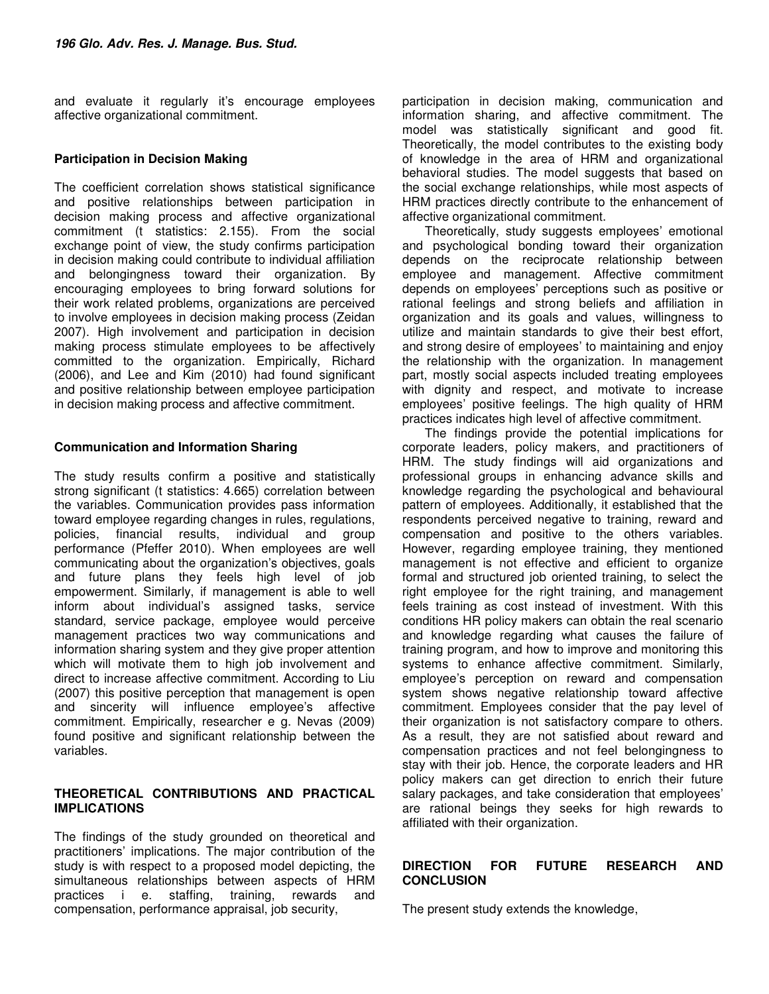and evaluate it regularly it's encourage employees affective organizational commitment.

### **Participation in Decision Making**

The coefficient correlation shows statistical significance and positive relationships between participation in decision making process and affective organizational commitment (t statistics: 2.155). From the social exchange point of view, the study confirms participation in decision making could contribute to individual affiliation and belongingness toward their organization. By encouraging employees to bring forward solutions for their work related problems, organizations are perceived to involve employees in decision making process (Zeidan 2007). High involvement and participation in decision making process stimulate employees to be affectively committed to the organization. Empirically, Richard (2006), and Lee and Kim (2010) had found significant and positive relationship between employee participation in decision making process and affective commitment.

### **Communication and Information Sharing**

The study results confirm a positive and statistically strong significant (t statistics: 4.665) correlation between the variables. Communication provides pass information toward employee regarding changes in rules, regulations, policies, financial results, individual and group performance (Pfeffer 2010). When employees are well communicating about the organization's objectives, goals and future plans they feels high level of job empowerment. Similarly, if management is able to well inform about individual's assigned tasks, service standard, service package, employee would perceive management practices two way communications and information sharing system and they give proper attention which will motivate them to high job involvement and direct to increase affective commitment. According to Liu (2007) this positive perception that management is open and sincerity will influence employee's affective commitment. Empirically, researcher e g. Nevas (2009) found positive and significant relationship between the variables.

#### **THEORETICAL CONTRIBUTIONS AND PRACTICAL IMPLICATIONS**

The findings of the study grounded on theoretical and practitioners' implications. The major contribution of the study is with respect to a proposed model depicting, the simultaneous relationships between aspects of HRM practices i e. staffing, training, rewards and compensation, performance appraisal, job security,

participation in decision making, communication and information sharing, and affective commitment. The model was statistically significant and good fit. Theoretically, the model contributes to the existing body of knowledge in the area of HRM and organizational behavioral studies. The model suggests that based on the social exchange relationships, while most aspects of HRM practices directly contribute to the enhancement of affective organizational commitment.

 Theoretically, study suggests employees' emotional and psychological bonding toward their organization depends on the reciprocate relationship between employee and management. Affective commitment depends on employees' perceptions such as positive or rational feelings and strong beliefs and affiliation in organization and its goals and values, willingness to utilize and maintain standards to give their best effort, and strong desire of employees' to maintaining and enjoy the relationship with the organization. In management part, mostly social aspects included treating employees with dignity and respect, and motivate to increase employees' positive feelings. The high quality of HRM practices indicates high level of affective commitment.

 The findings provide the potential implications for corporate leaders, policy makers, and practitioners of HRM. The study findings will aid organizations and professional groups in enhancing advance skills and knowledge regarding the psychological and behavioural pattern of employees. Additionally, it established that the respondents perceived negative to training, reward and compensation and positive to the others variables. However, regarding employee training, they mentioned management is not effective and efficient to organize formal and structured job oriented training, to select the right employee for the right training, and management feels training as cost instead of investment. With this conditions HR policy makers can obtain the real scenario and knowledge regarding what causes the failure of training program, and how to improve and monitoring this systems to enhance affective commitment. Similarly, employee's perception on reward and compensation system shows negative relationship toward affective commitment. Employees consider that the pay level of their organization is not satisfactory compare to others. As a result, they are not satisfied about reward and compensation practices and not feel belongingness to stay with their job. Hence, the corporate leaders and HR policy makers can get direction to enrich their future salary packages, and take consideration that employees' are rational beings they seeks for high rewards to affiliated with their organization.

### **DIRECTION FOR FUTURE RESEARCH AND CONCLUSION**

The present study extends the knowledge,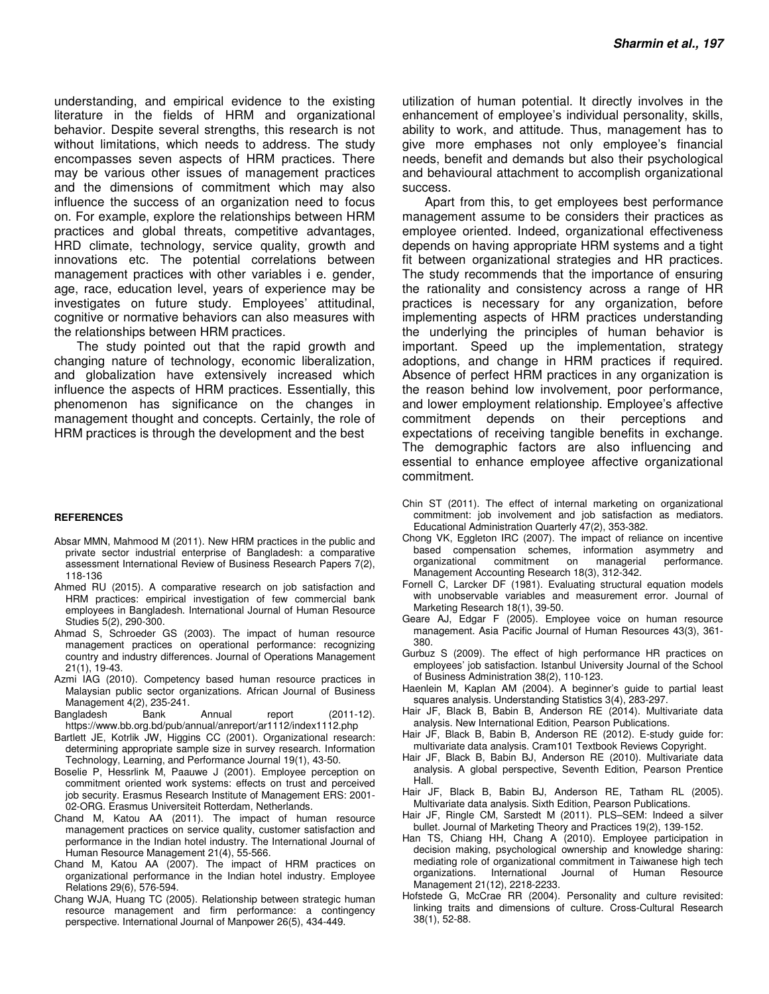understanding, and empirical evidence to the existing literature in the fields of HRM and organizational behavior. Despite several strengths, this research is not without limitations, which needs to address. The study encompasses seven aspects of HRM practices. There may be various other issues of management practices and the dimensions of commitment which may also influence the success of an organization need to focus on. For example, explore the relationships between HRM practices and global threats, competitive advantages, HRD climate, technology, service quality, growth and innovations etc. The potential correlations between management practices with other variables i e. gender, age, race, education level, years of experience may be investigates on future study. Employees' attitudinal, cognitive or normative behaviors can also measures with the relationships between HRM practices.

 The study pointed out that the rapid growth and changing nature of technology, economic liberalization, and globalization have extensively increased which influence the aspects of HRM practices. Essentially, this phenomenon has significance on the changes in management thought and concepts. Certainly, the role of HRM practices is through the development and the best

#### **REFERENCES**

- Absar MMN, Mahmood M (2011). New HRM practices in the public and private sector industrial enterprise of Bangladesh: a comparative assessment International Review of Business Research Papers 7(2), 118-136
- Ahmed RU (2015). A comparative research on job satisfaction and HRM practices: empirical investigation of few commercial bank employees in Bangladesh. International Journal of Human Resource Studies 5(2), 290-300.
- Ahmad S, Schroeder GS (2003). The impact of human resource management practices on operational performance: recognizing country and industry differences. Journal of Operations Management 21(1), 19-43.
- Azmi IAG (2010). Competency based human resource practices in Malaysian public sector organizations. African Journal of Business Management 4(2), 235-241.
- Bangladesh Bank Annual report (2011-12). https://www.bb.org.bd/pub/annual/anreport/ar1112/index1112.php
- Bartlett JE, Kotrlik JW, Higgins CC (2001). Organizational research: determining appropriate sample size in survey research. Information Technology, Learning, and Performance Journal 19(1), 43-50.
- Boselie P, Hessrlink M, Paauwe J (2001). Employee perception on commitment oriented work systems: effects on trust and perceived job security. Erasmus Research Institute of Management ERS: 2001- 02-ORG. Erasmus Universiteit Rotterdam, Netherlands.
- Chand M, Katou AA (2011). The impact of human resource management practices on service quality, customer satisfaction and performance in the Indian hotel industry. The International Journal of Human Resource Management 21(4), 55-566.
- Chand M, Katou AA (2007). The impact of HRM practices on organizational performance in the Indian hotel industry. Employee Relations 29(6), 576-594.
- Chang WJA, Huang TC (2005). Relationship between strategic human resource management and firm performance: a contingency perspective. International Journal of Manpower 26(5), 434-449.

utilization of human potential. It directly involves in the enhancement of employee's individual personality, skills, ability to work, and attitude. Thus, management has to give more emphases not only employee's financial needs, benefit and demands but also their psychological and behavioural attachment to accomplish organizational success.

 Apart from this, to get employees best performance management assume to be considers their practices as employee oriented. Indeed, organizational effectiveness depends on having appropriate HRM systems and a tight fit between organizational strategies and HR practices. The study recommends that the importance of ensuring the rationality and consistency across a range of HR practices is necessary for any organization, before implementing aspects of HRM practices understanding the underlying the principles of human behavior is important. Speed up the implementation, strategy adoptions, and change in HRM practices if required. Absence of perfect HRM practices in any organization is the reason behind low involvement, poor performance, and lower employment relationship. Employee's affective commitment depends on their perceptions and expectations of receiving tangible benefits in exchange. The demographic factors are also influencing and essential to enhance employee affective organizational commitment.

- Chin ST (2011). The effect of internal marketing on organizational commitment: job involvement and job satisfaction as mediators. Educational Administration Quarterly 47(2), 353-382.
- Chong VK, Eggleton IRC (2007). The impact of reliance on incentive based compensation schemes, information asymmetry and organizational commitment on managerial performance. organizational commitment on managerial performance. Management Accounting Research 18(3), 312-342.
- Fornell C, Larcker DF (1981). Evaluating structural equation models with unobservable variables and measurement error. Journal of Marketing Research 18(1), 39-50.
- Geare AJ, Edgar F (2005). Employee voice on human resource management. Asia Pacific Journal of Human Resources 43(3), 361- 380.
- Gurbuz S (2009). The effect of high performance HR practices on employees' job satisfaction. Istanbul University Journal of the School of Business Administration 38(2), 110-123.
- Haenlein M, Kaplan AM (2004). A beginner's guide to partial least squares analysis. Understanding Statistics 3(4), 283-297.
- Hair JF, Black B, Babin B, Anderson RE (2014). Multivariate data analysis. New International Edition, Pearson Publications.
- Hair JF, Black B, Babin B, Anderson RE (2012). E-study guide for: multivariate data analysis. Cram101 Textbook Reviews Copyright.
- Hair JF, Black B, Babin BJ, Anderson RE (2010). Multivariate data analysis. A global perspective, Seventh Edition, Pearson Prentice Hall.
- Hair JF, Black B, Babin BJ, Anderson RE, Tatham RL (2005). Multivariate data analysis. Sixth Edition, Pearson Publications.
- Hair JF, Ringle CM, Sarstedt M (2011). PLS–SEM: Indeed a silver bullet. Journal of Marketing Theory and Practices 19(2), 139-152.
- Han TS, Chiang HH, Chang A (2010). Employee participation in decision making, psychological ownership and knowledge sharing: mediating role of organizational commitment in Taiwanese high tech organizations. International Journal of Human Resource Management 21(12), 2218-2233.
- Hofstede G, McCrae RR (2004). Personality and culture revisited: linking traits and dimensions of culture. Cross-Cultural Research 38(1), 52-88.